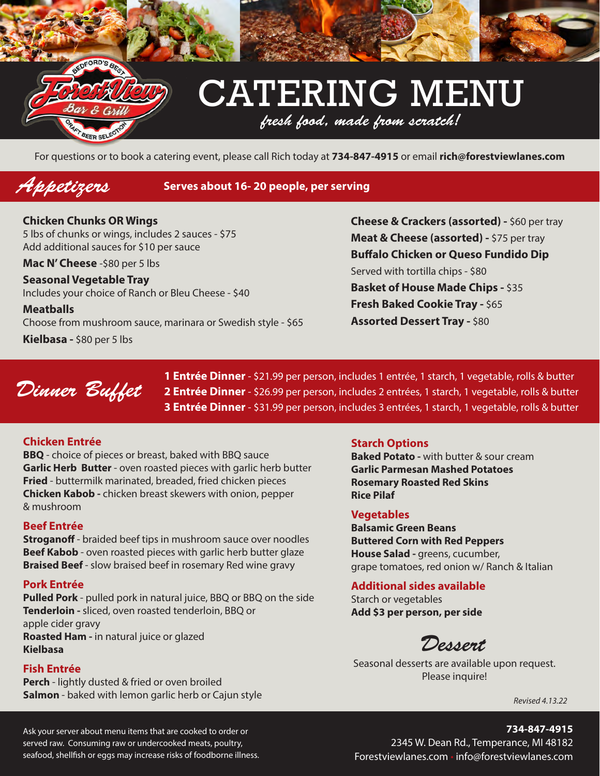

## CATERING MENU *fresh food, made from scratch!*

For questions or to book a catering event, please call Rich today at **734-847-4915** or email **rich@forestviewlanes.com**

### *Appetizers* **Serves about 16- 20 people, per serving**

**Chicken Chunks OR Wings** 5 lbs of chunks or wings, includes 2 sauces - \$75 Add additional sauces for \$10 per sauce

**Mac N' Cheese** -\$80 per 5 lbs

**Seasonal Vegetable Tray** Includes your choice of Ranch or Bleu Cheese - \$40

**Meatballs** Choose from mushroom sauce, marinara or Swedish style - \$65

**Kielbasa -** \$80 per 5 lbs

**Cheese & Crackers (assorted) -** \$60 per tray **Meat & Cheese (assorted) -** \$75 per tray **Buffalo Chicken or Queso Fundido Dip** Served with tortilla chips - \$80 **Basket of House Made Chips -** \$35 **Fresh Baked Cookie Tray - \$65 Assorted Dessert Tray - \$80** 



**1 Entrée Dinner** - \$21.99 per person, includes 1 entrée, 1 starch, 1 vegetable, rolls & butter **2 Entrée Dinner** - \$26.99 per person, includes 2 entrées, 1 starch, 1 vegetable, rolls & butter **3 Entrée Dinner** - \$31.99 per person, includes 3 entrées, 1 starch, 1 vegetable, rolls & butter

#### **Chicken Entrée**

**BBQ** - choice of pieces or breast, baked with BBQ sauce **Garlic Herb Butter** - oven roasted pieces with garlic herb butter **Fried** - buttermilk marinated, breaded, fried chicken pieces **Chicken Kabob -** chicken breast skewers with onion, pepper & mushroom

#### **Beef Entrée**

**Stroganoff** - braided beef tips in mushroom sauce over noodles **Beef Kabob** - oven roasted pieces with garlic herb butter glaze **Braised Beef** - slow braised beef in rosemary Red wine gravy

#### **Pork Entrée**

**Pulled Pork** - pulled pork in natural juice, BBQ or BBQ on the side **Tenderloin -** sliced, oven roasted tenderloin, BBQ or apple cider gravy **Roasted Ham -** in natural juice or glazed **Kielbasa**

#### **Fish Entrée**

**Perch** - lightly dusted & fried or oven broiled **Salmon** - baked with lemon garlic herb or Cajun style

#### **Starch Options**

**Baked Potato -** with butter & sour cream **Garlic Parmesan Mashed Potatoes Rosemary Roasted Red Skins Rice Pilaf**

#### **Vegetables**

**Balsamic Green Beans Buttered Corn with Red Peppers House Salad -** greens, cucumber, grape tomatoes, red onion w/ Ranch & Italian

#### **Additional sides available**

Starch or vegetables **Add \$3 per person, per side**

*Dessert*

Seasonal desserts are available upon request. Please inquire!

*Revised 4.13.22*

**734-847-4915**

Ask your server about menu items that are cooked to order or served raw. Consuming raw or undercooked meats, poultry, seafood, shellfish or eggs may increase risks of foodborne illness.

2345 W. Dean Rd., Temperance, MI 48182 Forestviewlanes.com • info@forestviewlanes.com